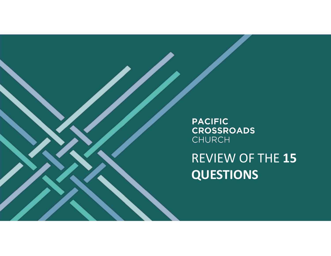**PACIFIC CROSSROADS** CHURCH

REVIEW OF THE **15 QUESTIONS**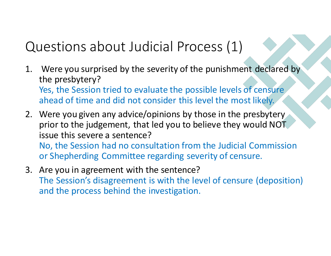# Questions about Judicial Process (1)

- 1. Were you surprised by the severity of the punishment declared by the presbytery? Yes, the Session tried to evaluate the possible levels of censure ahead of time and did not consider this level the most likely.
- 2. Were you given any advice/opinions by those in the presbytery prior to the judgement, that led you to believe they would NOT issue this severe a sentence? No, the Session had no consultation from the Judicial Commission or Shepherding Committee regarding severity of censure.
- 3. Are you in agreement with the sentence? The Session's disagreement is with the level of censure (deposition) and the process behind the investigation.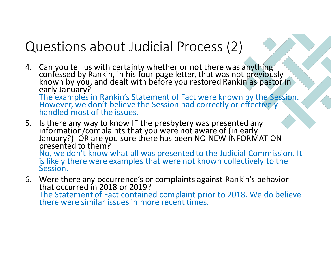## Questions about Judicial Process (2)

- 4. Can you tell us with certainty whether or not there was anything confessed by Rankin, in his four page letter, that was not previously<br>known by you, and dealt with before you restored Rankin as pastor in early January? The examples in Rankin's Statement of Fact were known by the Session. However, we don't believe the Session had correctly or effectively handled most of the issues.
- 5. Is there any way to know IF the presbytery was presented any information/complaints that you were not aware of (in early January?) OR are you sure there has been NO NEW INFORMATION<br>presented to them? No, we don't know what all was presented to the Judicial Commission. It is likely there were examples that were not known collectively to the Session.
- 6. Were there any occurrence's or complaints against Rankin's behavior that occurred in 2018 or 2019? The Statement of Fact contained complaint prior to 2018. We do believe there were similar issues in more recent times.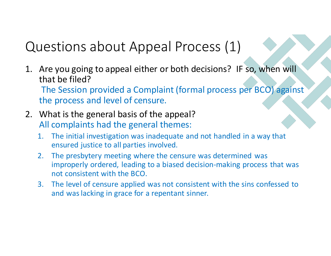## Questions about Appeal Process (1)

- 1. Are you going to appeal either or both decisions? IF so, when will that be filed? The Session provided a Complaint (formal process per BCO) against the process and level of censure.
- 2. What is the general basis of the appeal? All complaints had the general themes:
	- 1. The initial investigation was inadequate and not handled in a way that ensured justice to all parties involved.
	- 2. The presbytery meeting where the censure was determined was improperly ordered, leading to a biased decision-making process that was not consistent with the BCO.
	- 3. The level of censure applied was not consistent with the sins confessed to and was lacking in grace for a repentant sinner.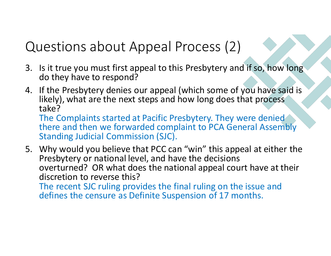## Questions about Appeal Process (2)

- 3. Is it true you must first appeal to this Presbytery and if so, how long do they have to respond?
- 4. If the Presbytery denies our appeal (which some of you have said is likely), what are the next steps and how long does that process take? The Complaints started at Pacific Presbytery. They were denied there and then we forwarded complaint to PCA General Assembly

Standing Judicial Commission (SJC).

5. Why would you believe that PCC can "win" this appeal at either the Presbytery or national level, and have the decisions overturned? OR what does the national appeal court have at their discretion to reverse this? The recent SJC ruling provides the final ruling on the issue and defines the censure as Definite Suspension of 17 months.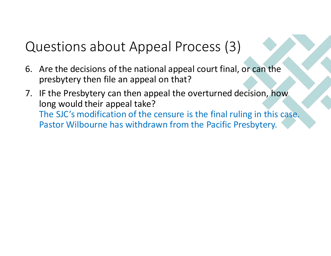# Questions about Appeal Process (3)

- 6. Are the decisions of the national appeal court final, or can the presbytery then file an appeal on that?
- 7. IF the Presbytery can then appeal the overturned decision, how long would their appeal take? The SJC's modification of the censure is the final ruling in this case. Pastor Wilbourne has withdrawn from the Pacific Presbytery.